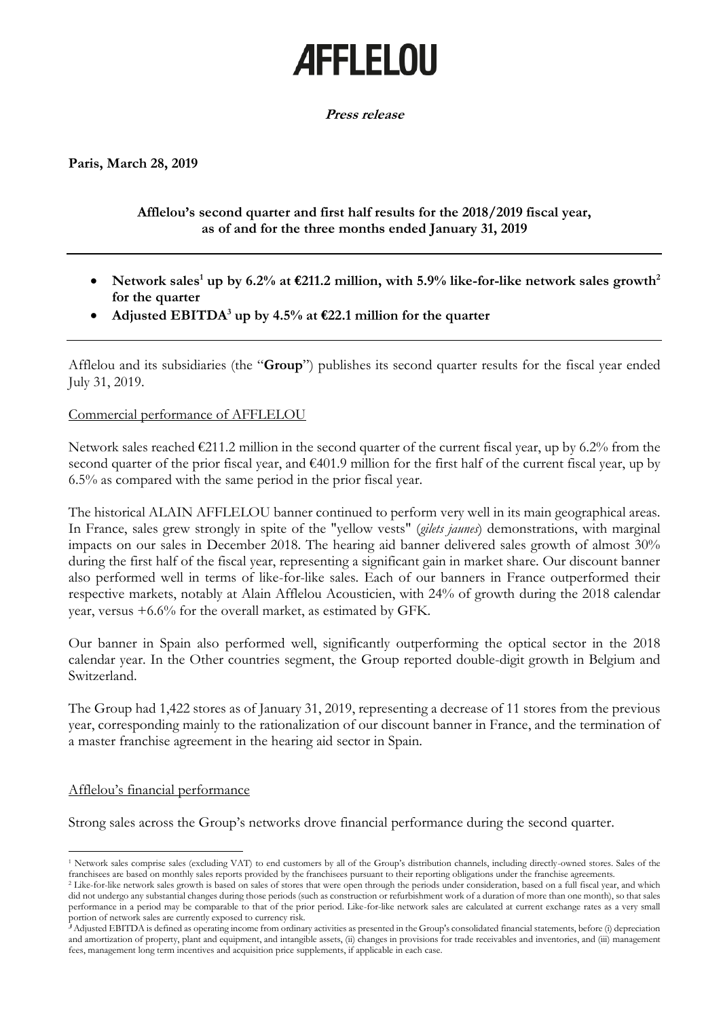# **AFFLELOU**

## **Press release**

**Paris, March 28, 2019**

## **Afflelou's second quarter and first half results for the 2018/2019 fiscal year, as of and for the three months ended January 31, 2019**

- Network sales<sup>1</sup> up by 6.2% at  $\epsilon$ 211.2 million, with 5.9% like-for-like network sales growth<sup>2</sup> **for the quarter**
- Adjusted EBITDA<sup>3</sup> up by 4.5% at  $\epsilon$ 22.1 million for the quarter

Afflelou and its subsidiaries (the "**Group**") publishes its second quarter results for the fiscal year ended July 31, 2019.

## Commercial performance of AFFLELOU

Network sales reached  $\epsilon$ 211.2 million in the second quarter of the current fiscal year, up by 6.2% from the second quarter of the prior fiscal year, and  $\epsilon$ 401.9 million for the first half of the current fiscal year, up by 6.5% as compared with the same period in the prior fiscal year.

The historical ALAIN AFFLELOU banner continued to perform very well in its main geographical areas. In France, sales grew strongly in spite of the "yellow vests" (*gilets jaunes*) demonstrations, with marginal impacts on our sales in December 2018. The hearing aid banner delivered sales growth of almost 30% during the first half of the fiscal year, representing a significant gain in market share. Our discount banner also performed well in terms of like-for-like sales. Each of our banners in France outperformed their respective markets, notably at Alain Afflelou Acousticien, with 24% of growth during the 2018 calendar year, versus +6.6% for the overall market, as estimated by GFK.

Our banner in Spain also performed well, significantly outperforming the optical sector in the 2018 calendar year. In the Other countries segment, the Group reported double-digit growth in Belgium and Switzerland.

The Group had 1,422 stores as of January 31, 2019, representing a decrease of 11 stores from the previous year, corresponding mainly to the rationalization of our discount banner in France, and the termination of a master franchise agreement in the hearing aid sector in Spain.

# Afflelou's financial performance

 $\overline{\phantom{a}}$ 

Strong sales across the Group's networks drove financial performance during the second quarter.

<sup>1</sup> Network sales comprise sales (excluding VAT) to end customers by all of the Group's distribution channels, including directly-owned stores. Sales of the franchisees are based on monthly sales reports provided by the franchisees pursuant to their reporting obligations under the franchise agreements.

<sup>&</sup>lt;sup>2</sup> Like-for-like network sales growth is based on sales of stores that were open through the periods under consideration, based on a full fiscal year, and which did not undergo any substantial changes during those periods (such as construction or refurbishment work of a duration of more than one month), so that sales performance in a period may be comparable to that of the prior period. Like-for-like network sales are calculated at current exchange rates as a very small portion of network sales are currently exposed to currency risk.

**<sup>3</sup>** Adjusted EBITDA is defined as operating income from ordinary activities as presented in the Group's consolidated financial statements, before (i) depreciation and amortization of property, plant and equipment, and intangible assets, (ii) changes in provisions for trade receivables and inventories, and (iii) management fees, management long term incentives and acquisition price supplements, if applicable in each case.